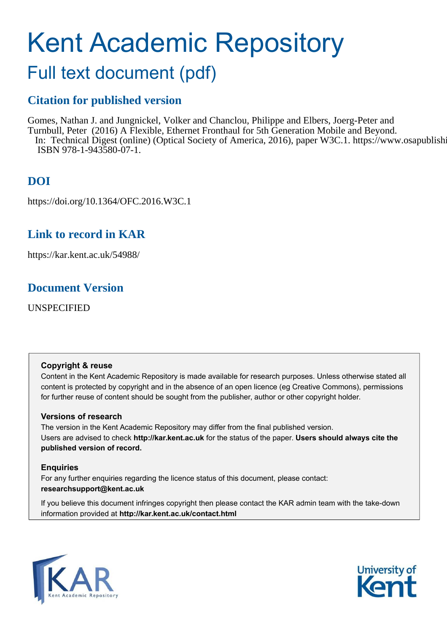# Kent Academic Repository

# Full text document (pdf)

### **Citation for published version**

Gomes, Nathan J. and Jungnickel, Volker and Chanclou, Philippe and Elbers, Joerg-Peter and Turnbull, Peter (2016) A Flexible, Ethernet Fronthaul for 5th Generation Mobile and Beyond. In: Technical Digest (online) (Optical Society of America, 2016), paper W3C.1. https://www.osapublishi ISBN 978-1-943580-07-1.

## **DOI**

https://doi.org/10.1364/OFC.2016.W3C.1

### **Link to record in KAR**

https://kar.kent.ac.uk/54988/

### **Document Version**

UNSPECIFIED

### **Copyright & reuse**

Content in the Kent Academic Repository is made available for research purposes. Unless otherwise stated all content is protected by copyright and in the absence of an open licence (eg Creative Commons), permissions for further reuse of content should be sought from the publisher, author or other copyright holder.

### **Versions of research**

The version in the Kent Academic Repository may differ from the final published version. Users are advised to check **http://kar.kent.ac.uk** for the status of the paper. **Users should always cite the published version of record.**

### **Enquiries**

For any further enquiries regarding the licence status of this document, please contact: **researchsupport@kent.ac.uk**

If you believe this document infringes copyright then please contact the KAR admin team with the take-down information provided at **http://kar.kent.ac.uk/contact.html**



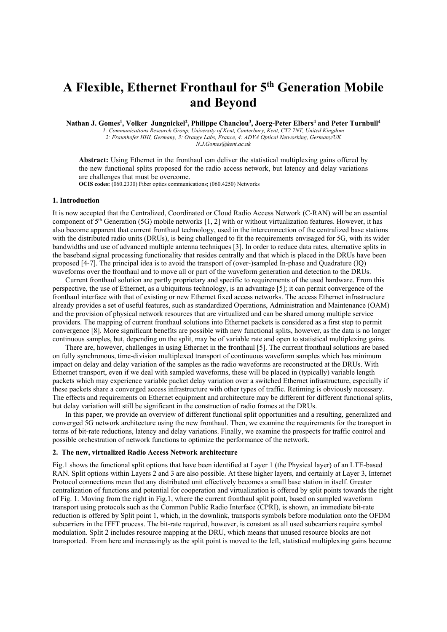# **A Flexible, Ethernet Fronthaul for 5th Generation Mobile and Beyond**

**Nathan J. Gomes<sup>1</sup> , Volker Jungnickel<sup>2</sup> , Philippe Chanclou<sup>3</sup> , Joerg-Peter Elbers<sup>4</sup> and Peter Turnbull<sup>4</sup>**

*1: Communications Research Group, University of Kent, Canterbury, Kent, CT2 7NT, United Kingdom 2: Fraunhofer HHI, Germany, 3: Orange Labs, France, 4: ADVA Optical Networking, Germany/UK N.J.Gomes@kent.ac.uk* 

**Abstract:** Using Ethernet in the fronthaul can deliver the statistical multiplexing gains offered by the new functional splits proposed for the radio access network, but latency and delay variations are challenges that must be overcome.

**OCIS codes:** (060.2330) Fiber optics communications; (060.4250) Networks

#### **1. Introduction**

It is now accepted that the Centralized, Coordinated or Cloud Radio Access Network (C-RAN) will be an essential component of 5th Generation (5G) mobile networks [1, 2] with or without virtualization features. However, it has also become apparent that current fronthaul technology, used in the interconnection of the centralized base stations with the distributed radio units (DRUs), is being challenged to fit the requirements envisaged for 5G, with its wider bandwidths and use of advanced multiple antenna techniques [3]. In order to reduce data rates, alternative splits in the baseband signal processing functionality that resides centrally and that which is placed in the DRUs have been proposed [4-7]. The principal idea is to avoid the transport of (over-)sampled In-phase and Quadrature (IQ) waveforms over the fronthaul and to move all or part of the waveform generation and detection to the DRUs.

Current fronthaul solution are partly proprietary and specific to requirements of the used hardware. From this perspective, the use of Ethernet, as a ubiquitous technology, is an advantage [5]; it can permit convergence of the fronthaul interface with that of existing or new Ethernet fixed access networks. The access Ethernet infrastructure already provides a set of useful features, such as standardized Operations, Administration and Maintenance (OAM) and the provision of physical network resources that are virtualized and can be shared among multiple service providers. The mapping of current fronthaul solutions into Ethernet packets is considered as a first step to permit convergence [8]. More significant benefits are possible with new functional splits, however, as the data is no longer continuous samples, but, depending on the split, may be of variable rate and open to statistical multiplexing gains.

There are, however, challenges in using Ethernet in the fronthaul [5]. The current fronthaul solutions are based on fully synchronous, time-division multiplexed transport of continuous waveform samples which has minimum impact on delay and delay variation of the samples as the radio waveforms are reconstructed at the DRUs. With Ethernet transport, even if we deal with sampled waveforms, these will be placed in (typically) variable length packets which may experience variable packet delay variation over a switched Ethernet infrastructure, especially if these packets share a converged access infrastructure with other types of traffic. Retiming is obviously necessary. The effects and requirements on Ethernet equipment and architecture may be different for different functional splits, but delay variation will still be significant in the construction of radio frames at the DRUs.

In this paper, we provide an overview of different functional split opportunities and a resulting, generalized and converged 5G network architecture using the new fronthaul. Then, we examine the requirements for the transport in terms of bit-rate reductions, latency and delay variations. Finally, we examine the prospects for traffic control and possible orchestration of network functions to optimize the performance of the network.

#### **2. The new, virtualized Radio Access Network architecture**

Fig.1 shows the functional split options that have been identified at Layer 1 (the Physical layer) of an LTE-based RAN. Split options within Layers 2 and 3 are also possible. At these higher layers, and certainly at Layer 3, Internet Protocol connections mean that any distributed unit effectively becomes a small base station in itself. Greater centralization of functions and potential for cooperation and virtualization is offered by split points towards the right of Fig. 1. Moving from the right in Fig.1, where the current fronthaul split point, based on sampled waveform transport using protocols such as the Common Public Radio Interface (CPRI), is shown, an immediate bit-rate reduction is offered by Split point 1, which, in the downlink, transports symbols before modulation onto the OFDM subcarriers in the IFFT process. The bit-rate required, however, is constant as all used subcarriers require symbol modulation. Split 2 includes resource mapping at the DRU, which means that unused resource blocks are not transported. From here and increasingly as the split point is moved to the left, statistical multiplexing gains become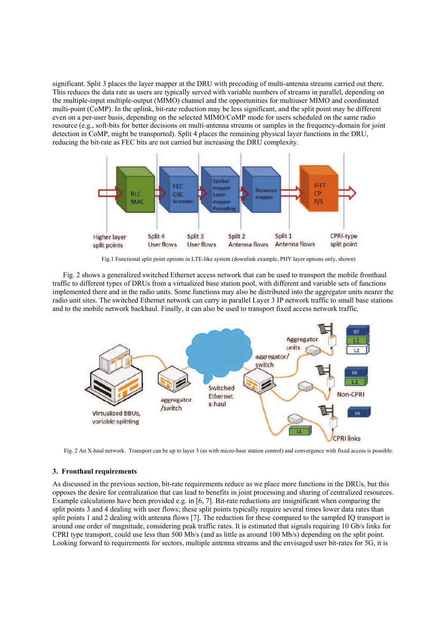significant. Split 3 places the layer mapper at the DRU with precoding of multi-antenna streams carried out there. This reduces the data rate as users are typically served with variable numbers of streams in parallel, depending on the multiple-input multiple-output (MIMO) channel and the opportunities for multiuser MIMO and coordinated multi-point (CoMP). In the uplink, bit-rate reduction may be less significant, and the split point may be different even on a per-user basis, depending on the selected MIMO/CoMP mode for users scheduled on the same radio resource (e.g., soft-bits for better decisions on multi-antenna streams or samples in the frequency-domain for joint detection in CoMP, might be transported). Split 4 places the remaining physical layer functions in the DRU, reducing the bit-rate as FEC bits are not carried but increasing the DRU complexity.



Fig.1 Functional split point options in LTE-like system (downlink example, PHY layer options only, shown)

Fig. 2 shows a generalized switched Ethernet access network that can be used to transport the mobile fronthaul traffic to different types of DRUs from a virtualized base station pool, with different and variable sets of functions implemented there and in the radio units. Some functions may also be distributed into the aggregator units nearer the radio unit sites. The switched Ethernet network can carry in parallel Layer 3 IP network traffic to small base stations and to the mobile network backhaul. Finally, it can also be used to transport fixed access network traffic.



Fig. 2 An X-haul network. Transport can be up to layer 3 (as with micro-base station control) and convergence with fixed access is possible.

### **3. Fronthaul requirements**

As discussed in the previous section, bit-rate requirements reduce as we place more functions in the DRUs, but this opposes the desire for centralization that can lead to benefits in joint processing and sharing of centralized resources. Example calculations have been provided e.g. in [6, 7]. Bit-rate reductions are insignificant when comparing the split points 3 and 4 dealing with user flows; these split points typically require several times lower data rates than split points 1 and 2 dealing with antenna flows [7]. The reduction for these compared to the sampled IQ transport is around one order of magnitude, considering peak traffic rates. It is estimated that signals requiring 10 Gb/s links for CPRI type transport, could use less than 500 Mb/s (and as little as around 100 Mb/s) depending on the split point. Looking forward to requirements for sectors, multiple antenna streams and the envisaged user bit-rates for 5G, it is